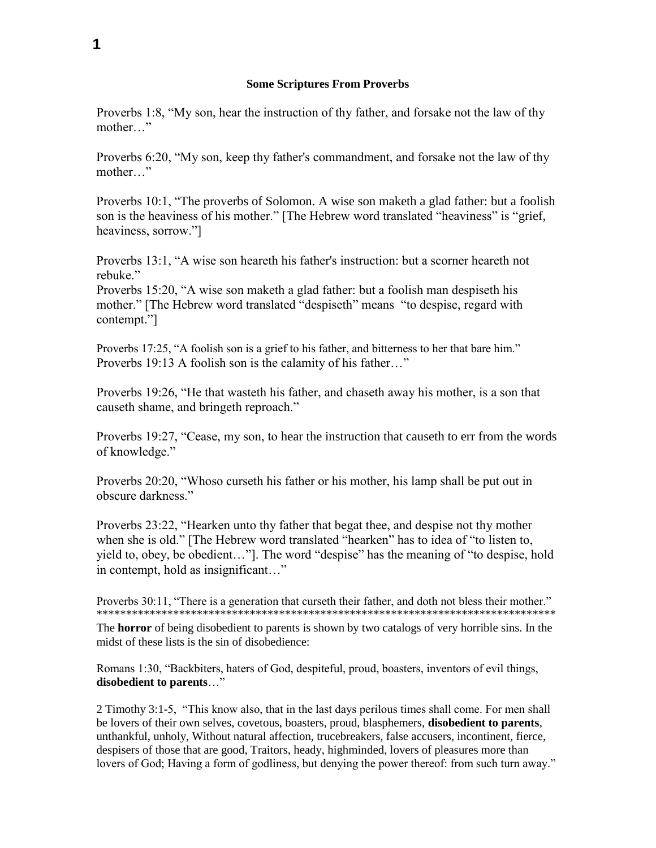Proverbs 1:8, "My son, hear the instruction of thy father, and forsake not the law of thy mother…"

Proverbs 6:20, "My son, keep thy father's commandment, and forsake not the law of thy mother…"

Proverbs 10:1, "The proverbs of Solomon. A wise son maketh a glad father: but a foolish son is the heaviness of his mother." [The Hebrew word translated "heaviness" is "grief, heaviness, sorrow."]

Proverbs 13:1, "A wise son heareth his father's instruction: but a scorner heareth not rebuke."

Proverbs 15:20, "A wise son maketh a glad father: but a foolish man despiseth his mother." [The Hebrew word translated "despiseth" means "to despise, regard with contempt."]

Proverbs 17:25, "A foolish son is a grief to his father, and bitterness to her that bare him." Proverbs 19:13 A foolish son is the calamity of his father…"

Proverbs 19:26, "He that wasteth his father, and chaseth away his mother, is a son that causeth shame, and bringeth reproach."

Proverbs 19:27, "Cease, my son, to hear the instruction that causeth to err from the words of knowledge."

Proverbs 20:20, "Whoso curseth his father or his mother, his lamp shall be put out in obscure darkness."

Proverbs 23:22, "Hearken unto thy father that begat thee, and despise not thy mother when she is old." [The Hebrew word translated "hearken" has to idea of "to listen to, yield to, obey, be obedient…"]. The word "despise" has the meaning of "to despise, hold in contempt, hold as insignificant…"

Proverbs 30:11, "There is a generation that curseth their father, and doth not bless their mother." \*\*\*\*\*\*\*\*\*\*\*\*\*\*\*\*\*\*\*\*\*\*\*\*\*\*\*\*\*\*\*\*\*\*\*\*\*\*\*\*\*\*\*\*\*\*\*\*\*\*\*\*\*\*\*\*\*\*\*\*\*\*\*\*\*\*\*\*\*\*\*\*\*\*\*\*\*\*

The **horror** of being disobedient to parents is shown by two catalogs of very horrible sins. In the midst of these lists is the sin of disobedience:

Romans 1:30, "Backbiters, haters of God, despiteful, proud, boasters, inventors of evil things, **disobedient to parents**…"

2 Timothy 3:1-5, "This know also, that in the last days perilous times shall come. For men shall be lovers of their own selves, covetous, boasters, proud, blasphemers, **disobedient to parents**, unthankful, unholy, Without natural affection, trucebreakers, false accusers, incontinent, fierce, despisers of those that are good, Traitors, heady, highminded, lovers of pleasures more than lovers of God; Having a form of godliness, but denying the power thereof: from such turn away."